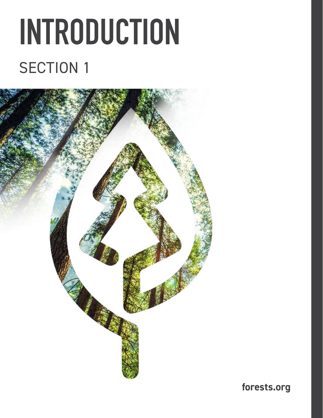# **INTRODUCTION** SECTION 1



**forests.org**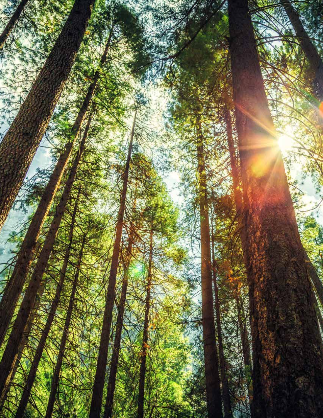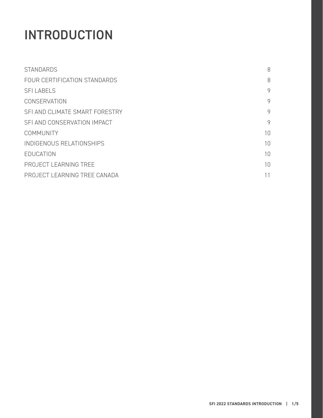## INTRODUCTION

| <b>STANDARDS</b>               | 8               |
|--------------------------------|-----------------|
| FOUR CERTIFICATION STANDARDS   | 8               |
| <b>SFI LABELS</b>              | 9               |
| CONSERVATION                   | 9               |
| SFI AND CLIMATE SMART FORESTRY | 9               |
| SFI AND CONSERVATION IMPACT    | 9               |
| <b>COMMUNITY</b>               | 10 <sup>1</sup> |
| INDIGENOUS RELATIONSHIPS       | 10              |
| EDUCATION                      | 10              |
| PROJECT LEARNING TREE          | 10              |
| PROJECT LEARNING TREE CANADA   | 11              |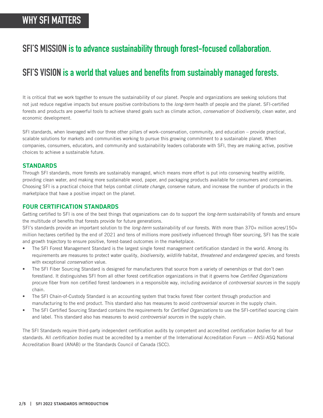## **WHY SFI MATTERS**

## **SFI'S MISSION is to advance sustainability through forest-focused collaboration.**

### **SFI'S VISION is a world that values and benefits from sustainably managed forests.**

It is critical that we work together to ensure the sustainability of our planet. People and organizations are seeking solutions that not just reduce negative impacts but ensure positive contributions to the *long-term* health of people and the planet. SFI-certified forests and products are powerful tools to achieve shared goals such as climate action, *conservation* of *biodiversity*, clean water, and economic development.

SFI standards, when leveraged with our three other pillars of work–conservation, community, and education – provide practical, scalable solutions for markets and communities working to pursue this growing commitment to a sustainable planet. When companies, consumers, educators, and community and sustainability leaders collaborate with SFI, they are making active, positive choices to achieve a sustainable future.

#### **STANDARDS**

Through SFI standards, more forests are sustainably managed, which means more effort is put into conserving healthy *wildlife*, providing clean water, and making more sustainable wood, paper, and packaging products available for consumers and companies. Choosing SFI is a practical choice that helps combat *climate change*, conserve nature, and increase the number of products in the marketplace that have a positive impact on the planet.

#### **FOUR CERTIFICATION STANDARDS**

Getting certified to SFI is one of the best things that organizations can do to support the *long-term* sustainability of forests and ensure the multitude of benefits that forests provide for future generations.

SFI's standards provide an important solution to the *long-term* sustainability of our forests. With more than 370+ million acres/150+ million hectares certified by the end of 2021 and tens of millions more positively influenced through fiber sourcing, SFI has the scale and growth trajectory to ensure positive, forest-based outcomes in the marketplace.

- The SFI Forest Management Standard is the largest single forest management certification standard in the world. Among its requirements are measures to protect water quality, *biodiversity*, *wildlife* habitat, *threatened and endangered species*, and forests with exceptional *conservation* value.
- The SFI Fiber Sourcing Standard is designed for manufacturers that source from a variety of ownerships or that don't own forestland. It distinguishes SFI from all other forest certification organizations in that it governs how Certified Organizations procure fiber from non certified forest landowners in a responsible way, including avoidance of *controversial sources* in the supply chain.
- The SFI Chain-of-Custody Standard is an accounting system that tracks forest fiber content through production and manufacturing to the end product. This standard also has measures to avoid *controversial sources* in the supply chain.
- The SFI Certified Sourcing Standard contains the requirements for *Certified Organizations* to use the SFI-certified sourcing claim and label. This standard also has measures to avoid *controversial sources* in the supply chain.

The SFI Standards require third-party independent certification audits by competent and accredited *certification bodies* for all four standards. All *certification bodies* must be accredited by a member of the International Accreditation Forum — ANSI-ASQ National Accreditation Board (ANAB) or the Standards Council of Canada (SCC).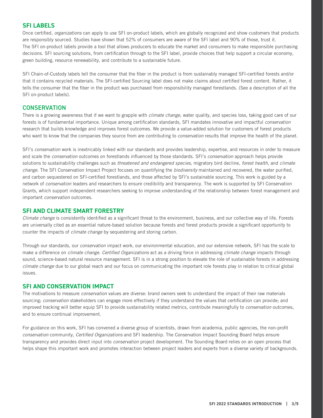#### **SFI LABELS**

Once certified, *organizations* can apply to use SFI on-product labels, which are globally recognized and show customers that products are responsibly sourced. Studies have shown that 52% of consumers are aware of the SFI label and 90% of those, trust it. The SFI on-product labels provide a tool that allows producers to educate the market and consumers to make responsible purchasing decisions. SFI sourcing solutions, from certification through to the SFI label, provide choices that help support a circular economy, green building, resource renewability, and contribute to a sustainable future.

SFI Chain-of-Custody labels tell the consumer that the fiber in the product is from sustainably managed SFI-certified forests and/or that it contains recycled materials. The SFI-certified Sourcing label does not make claims about certified forest content. Rather, it tells the consumer that the fiber in the product was purchased from responsibility managed forestlands. (See a description of all the SFI on-product labels).

#### **CONSERVATION**

There is a growing awareness that if we want to grapple with *climate change*, water quality, and species loss, taking good care of our forests is of fundamental importance. Unique among certification standards, SFI mandates innovative and impactful *conservation* research that builds knowledge and improves forest outcomes. We provide a value-added solution for customers of forest products who want to know that the companies they source from are contributing to *conservation* results that improve the health of the planet.

SFI's *conservation* work is inextricably linked with our standards and provides leadership, expertise, and resources in order to measure and scale the *conservation* outcomes on forestlands influenced by those standards. SFI's *conservation* approach helps provide solutions to sustainability challenges such as *threatened and endangered species*, migratory bird decline, *forest health*, and *climate change*. The SFI Conservation Impact Project focuses on quantifying the *biodiversity* maintained and recovered, the water purified, and carbon sequestered on SFI-certified forestlands, and those affected by SFI's sustainable sourcing. This work is guided by a network of *conservation* leaders and researchers to ensure credibility and transparency. The work is supported by SFI Conservation Grants, which support independent researchers seeking to improve understanding of the relationship between forest management and important *conservation* outcomes.

#### **SFI AND CLIMATE SMART FORESTRY**

*Climate change* is consistently identified as a significant threat to the environment, business, and our collective way of life. Forests are universally cited as an essential nature-based solution because forests and forest products provide a significant opportunity to counter the impacts of *climate change* by sequestering and storing carbon.

Through our standards, our *conservation* impact work, our environmental education, and our extensive network, SFI has the scale to make a difference on *climate change*. Certified Organizations act as a driving force in addressing *climate change* impacts through sound, science-based natural resource management. SFI is in a strong position to elevate the role of sustainable forests in addressing *climate change* due to our global reach and our focus on communicating the important role forests play in relation to critical global issues.

#### **SFI AND CONSERVATION IMPACT**

The motivations to measure *conservation* values are diverse: brand owners seek to understand the impact of their raw materials sourcing; *conservation* stakeholders can engage more effectively if they understand the values that certification can provide; and improved tracking will better equip SFI to provide sustainability related metrics, contribute meaningfully to *conservation* outcomes, and to ensure continual improvement.

For guidance on this work, SFI has convened a diverse group of scientists, drawn from academia, public agencies, the non-profit *conservation* community, Certified Organizations and SFI leadership. The Conservation Impact Sounding Board helps ensure transparency and provides direct input into *conservation* project development. The Sounding Board relies on an open process that helps shape this important work and promotes interaction between project leaders and experts from a diverse variety of backgrounds.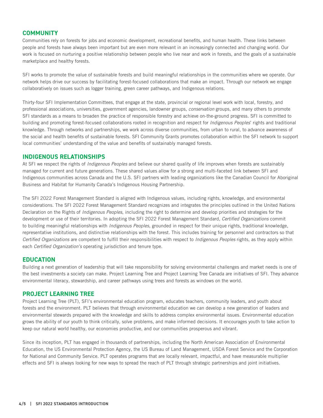#### **COMMUNITY**

Communities rely on forests for jobs and economic development, recreational benefits, and human health. These links between people and forests have always been important but are even more relevant in an increasingly connected and changing world. Our work is focused on nurturing a positive relationship between people who live near and work in forests, and the goals of a sustainable marketplace and healthy forests.

SFI works to promote the value of sustainable forests and build meaningful relationships in the communities where we operate. Our network helps drive our success by facilitating forest-focused collaborations that make an impact. Through our network we engage collaboratively on issues such as logger training, green career pathways, and Indigenous relations.

Thirty-four SFI Implementation Committees, that engage at the state, provincial or regional level work with local, forestry, and professional associations, universities, government agencies, landowner groups, *conservation* groups, and many others to promote SFI standards as a means to broaden the practice of responsible forestry and achieve on-the-ground progress. SFI is committed to building and promoting forest-focused collaborations rooted in recognition and respect for *Indigenous Peoples*' rights and traditional knowledge. Through networks and partnerships, we work across diverse communities, from urban to rural, to advance awareness of the social and health benefits of sustainable forests. SFI Community Grants promotes collaboration within the SFI network to support local communities' understanding of the value and benefits of sustainably managed forests.

#### **INDIGENOUS RELATIONSHIPS**

At SFI we respect the rights of *Indigenous Peoples* and believe our shared quality of life improves when forests are sustainably managed for current and future generations. These shared values allow for a strong and multi-faceted link between SFI and Indigenous communities across Canada and the U.S. SFI partners with leading organizations like the Canadian Council for Aboriginal Business and Habitat for Humanity Canada's Indigenous Housing Partnership.

The SFI 2022 Forest Management Standard is aligned with Indigenous values, including rights, knowledge, and environmental considerations. The SFI 2022 Forest Management Standard recognizes and integrates the principles outlined in the United Nations Declaration on the Rights of *Indigenous Peoples*, including the right to determine and develop priorities and strategies for the development or use of their territories. In adopting the SFI 2022 Forest Management Standard, Certified Organizations commit to building meaningful relationships with *Indigenous Peoples*, grounded in respect for their unique rights, traditional knowledge, representative institutions, and distinctive relationships with the forest. This includes training for personnel and contractors so that Certified Organizations are competent to fulfill their responsibilities with respect to *Indigenous Peoples* rights, as they apply within each Certified Organization's operating jurisdiction and tenure type.

#### **EDUCATION**

Building a next generation of leadership that will take responsibility for solving environmental challenges and market needs is one of the best investments a society can make. Project Learning Tree and Project Learning Tree Canada are initiatives of SFI. They advance environmental literacy, stewardship, and career pathways using trees and forests as windows on the world.

#### **PROJECT LEARNING TREE**

Project Learning Tree (PLT), SFI's environmental education program, educates teachers, community leaders, and youth about forests and the environment. PLT believes that through environmental education we can develop a new generation of leaders and environmental stewards prepared with the knowledge and skills to address complex environmental issues. Environmental education grows the ability of our youth to think critically, solve problems, and make informed decisions. It encourages youth to take action to keep our natural world healthy, our economies productive, and our communities prosperous and vibrant.

Since its inception, PLT has engaged in thousands of partnerships, including the North American Association of Environmental Education, the US Environmental Protection Agency, the US Bureau of Land Management, USDA Forest Service and the Corporation for National and Community Service. PLT operates programs that are locally relevant, impactful, and have measurable multiplier effects and SFI is always looking for new ways to spread the reach of PLT through strategic partnerships and joint initiatives.